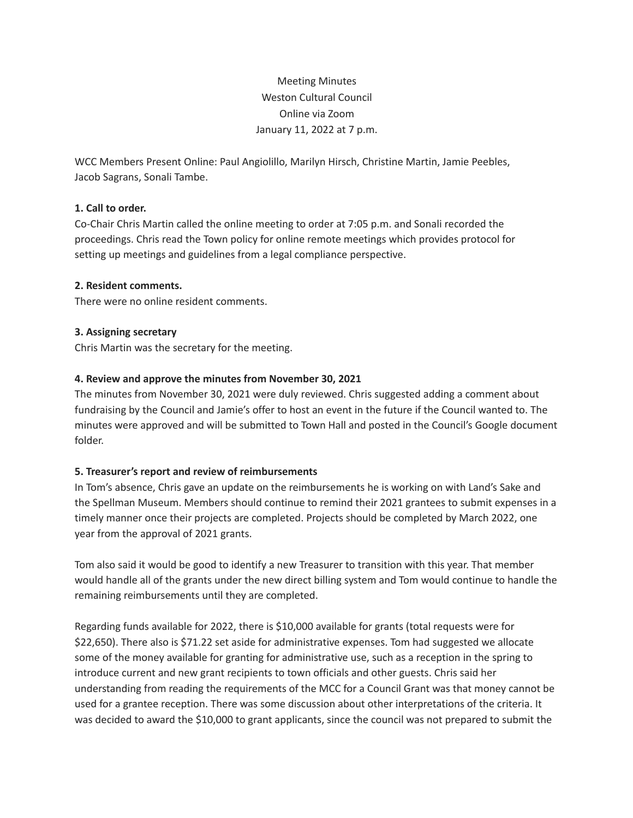# Meeting Minutes Weston Cultural Council Online via Zoom January 11, 2022 at 7 p.m.

WCC Members Present Online: Paul Angiolillo, Marilyn Hirsch, Christine Martin, Jamie Peebles, Jacob Sagrans, Sonali Tambe.

# **1. Call to order.**

Co-Chair Chris Martin called the online meeting to order at 7:05 p.m. and Sonali recorded the proceedings. Chris read the Town policy for online remote meetings which provides protocol for setting up meetings and guidelines from a legal compliance perspective.

# **2. Resident comments.**

There were no online resident comments.

# **3. Assigning secretary**

Chris Martin was the secretary for the meeting.

# **4. Review and approve the minutes from November 30, 2021**

The minutes from November 30, 2021 were duly reviewed. Chris suggested adding a comment about fundraising by the Council and Jamie's offer to host an event in the future if the Council wanted to. The minutes were approved and will be submitted to Town Hall and posted in the Council's Google document folder.

# **5. Treasurer's report and review of reimbursements**

In Tom's absence, Chris gave an update on the reimbursements he is working on with Land's Sake and the Spellman Museum. Members should continue to remind their 2021 grantees to submit expenses in a timely manner once their projects are completed. Projects should be completed by March 2022, one year from the approval of 2021 grants.

Tom also said it would be good to identify a new Treasurer to transition with this year. That member would handle all of the grants under the new direct billing system and Tom would continue to handle the remaining reimbursements until they are completed.

Regarding funds available for 2022, there is \$10,000 available for grants (total requests were for \$22,650). There also is \$71.22 set aside for administrative expenses. Tom had suggested we allocate some of the money available for granting for administrative use, such as a reception in the spring to introduce current and new grant recipients to town officials and other guests. Chris said her understanding from reading the requirements of the MCC for a Council Grant was that money cannot be used for a grantee reception. There was some discussion about other interpretations of the criteria. It was decided to award the \$10,000 to grant applicants, since the council was not prepared to submit the